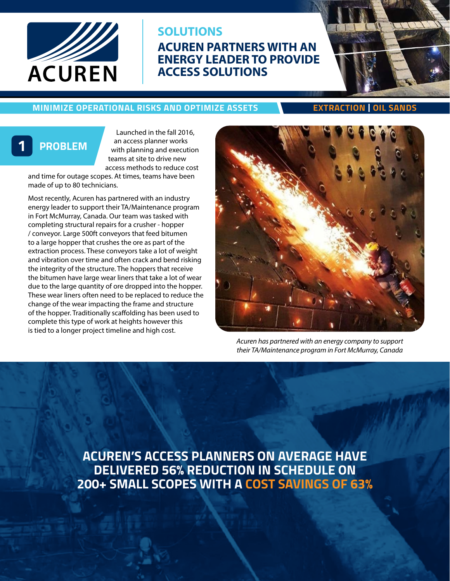

# **ACUREN PARTNERS WITH AN ENERGY LEADER TO PROVIDE ACCESS SOLUTIONS SOLUTIONS**

### **MINIMIZE OPERATIONAL RISKS AND OPTIMIZE ASSETS EXTRACTION | OIL SANDS**

# **1 PROBLEM**

Launched in the fall 2016, an access planner works with planning and execution teams at site to drive new access methods to reduce cost

and time for outage scopes. At times, teams have been made of up to 80 technicians.

Most recently, Acuren has partnered with an industry energy leader to support their TA/Maintenance program in Fort McMurray, Canada. Our team was tasked with completing structural repairs for a crusher - hopper / conveyor. Large 500ft conveyors that feed bitumen to a large hopper that crushes the ore as part of the extraction process. These conveyors take a lot of weight and vibration over time and often crack and bend risking the integrity of the structure. The hoppers that receive the bitumen have large wear liners that take a lot of wear due to the large quantity of ore dropped into the hopper. These wear liners often need to be replaced to reduce the change of the wear impacting the frame and structure of the hopper. Traditionally scaffolding has been used to complete this type of work at heights however this is tied to a longer project timeline and high cost.



*Acuren has partnered with an energy company to support their TA/Maintenance program in Fort McMurray, Canada*

**ACUREN'S ACCESS PLANNERS ON AVERAGE HAVE DELIVERED 56% REDUCTION IN SCHEDULE ON 200+ SMALL SCOPES WITH A COST SAVINGS OF 63%**